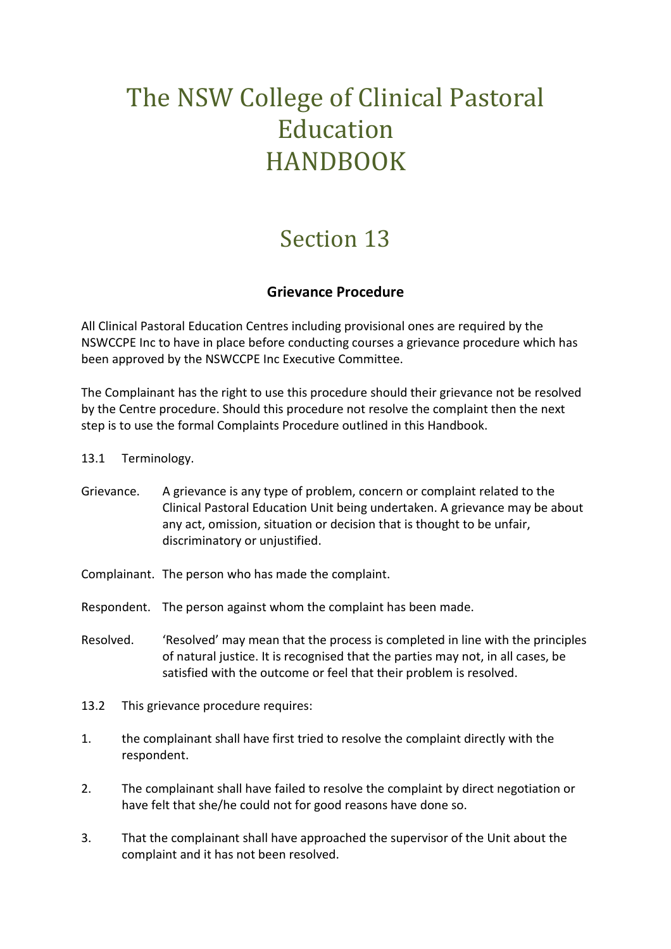## The NSW College of Clinical Pastoral Education HANDBOOK

## Section 13

## **Grievance Procedure**

All Clinical Pastoral Education Centres including provisional ones are required by the NSWCCPE Inc to have in place before conducting courses a grievance procedure which has been approved by the NSWCCPE Inc Executive Committee.

The Complainant has the right to use this procedure should their grievance not be resolved by the Centre procedure. Should this procedure not resolve the complaint then the next step is to use the formal Complaints Procedure outlined in this Handbook.

- 13.1 Terminology.
- Grievance. A grievance is any type of problem, concern or complaint related to the Clinical Pastoral Education Unit being undertaken. A grievance may be about any act, omission, situation or decision that is thought to be unfair, discriminatory or unjustified.
- Complainant. The person who has made the complaint.
- Respondent. The person against whom the complaint has been made.
- Resolved. 'Resolved' may mean that the process is completed in line with the principles of natural justice. It is recognised that the parties may not, in all cases, be satisfied with the outcome or feel that their problem is resolved.
- 13.2 This grievance procedure requires:
- 1. the complainant shall have first tried to resolve the complaint directly with the respondent.
- 2. The complainant shall have failed to resolve the complaint by direct negotiation or have felt that she/he could not for good reasons have done so.
- 3. That the complainant shall have approached the supervisor of the Unit about the complaint and it has not been resolved.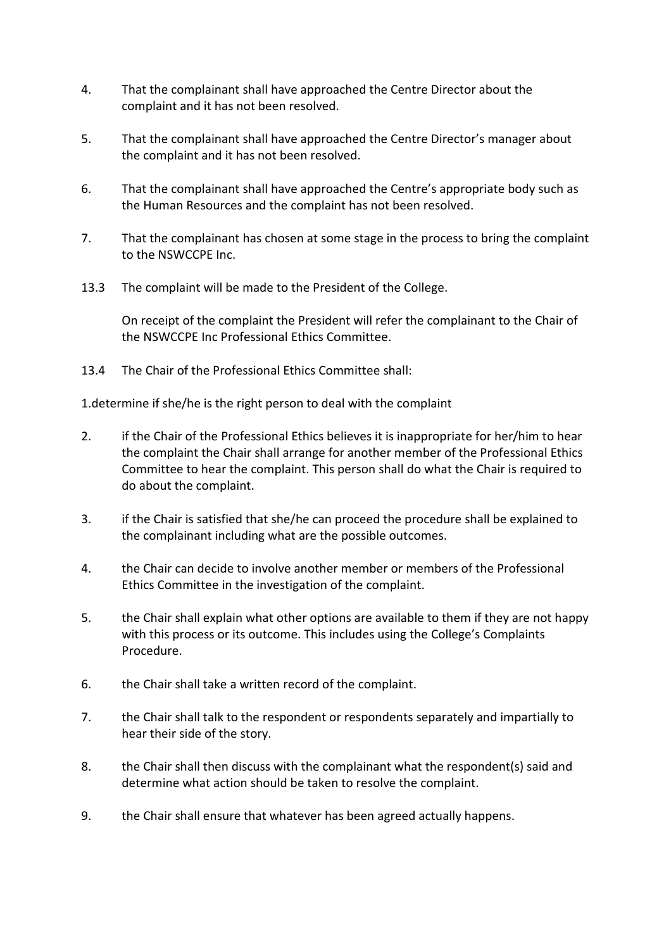- 4. That the complainant shall have approached the Centre Director about the complaint and it has not been resolved.
- 5. That the complainant shall have approached the Centre Director's manager about the complaint and it has not been resolved.
- 6. That the complainant shall have approached the Centre's appropriate body such as the Human Resources and the complaint has not been resolved.
- 7. That the complainant has chosen at some stage in the process to bring the complaint to the NSWCCPE Inc.
- 13.3 The complaint will be made to the President of the College.

On receipt of the complaint the President will refer the complainant to the Chair of the NSWCCPE Inc Professional Ethics Committee.

13.4 The Chair of the Professional Ethics Committee shall:

1.determine if she/he is the right person to deal with the complaint

- 2. if the Chair of the Professional Ethics believes it is inappropriate for her/him to hear the complaint the Chair shall arrange for another member of the Professional Ethics Committee to hear the complaint. This person shall do what the Chair is required to do about the complaint.
- 3. if the Chair is satisfied that she/he can proceed the procedure shall be explained to the complainant including what are the possible outcomes.
- 4. the Chair can decide to involve another member or members of the Professional Ethics Committee in the investigation of the complaint.
- 5. the Chair shall explain what other options are available to them if they are not happy with this process or its outcome. This includes using the College's Complaints Procedure.
- 6. the Chair shall take a written record of the complaint.
- 7. the Chair shall talk to the respondent or respondents separately and impartially to hear their side of the story.
- 8. the Chair shall then discuss with the complainant what the respondent(s) said and determine what action should be taken to resolve the complaint.
- 9. the Chair shall ensure that whatever has been agreed actually happens.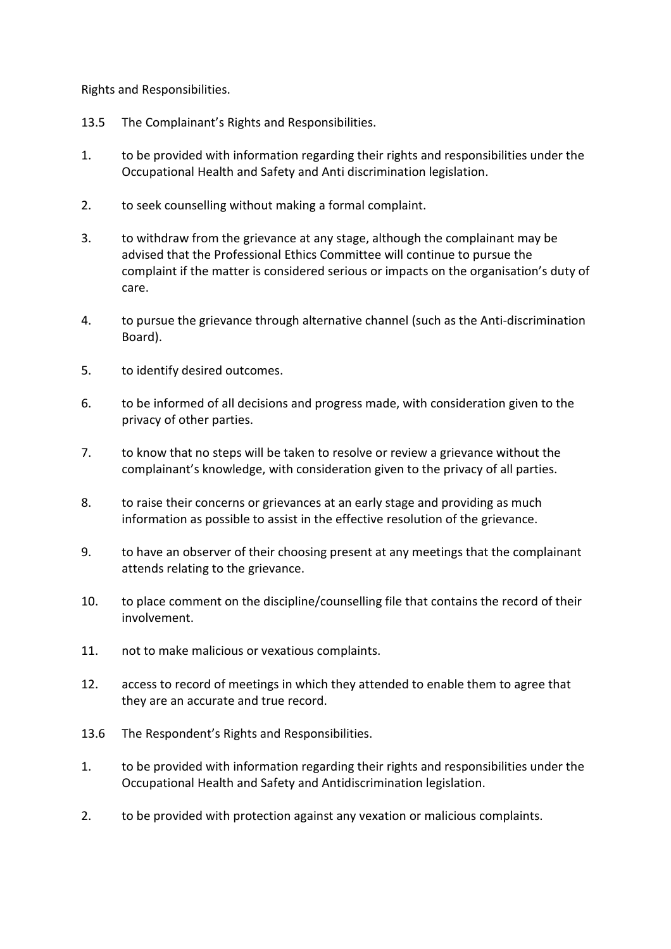Rights and Responsibilities.

- 13.5 The Complainant's Rights and Responsibilities.
- 1. to be provided with information regarding their rights and responsibilities under the Occupational Health and Safety and Anti discrimination legislation.
- 2. to seek counselling without making a formal complaint.
- 3. to withdraw from the grievance at any stage, although the complainant may be advised that the Professional Ethics Committee will continue to pursue the complaint if the matter is considered serious or impacts on the organisation's duty of care.
- 4. to pursue the grievance through alternative channel (such as the Anti-discrimination Board).
- 5. to identify desired outcomes.
- 6. to be informed of all decisions and progress made, with consideration given to the privacy of other parties.
- 7. to know that no steps will be taken to resolve or review a grievance without the complainant's knowledge, with consideration given to the privacy of all parties.
- 8. to raise their concerns or grievances at an early stage and providing as much information as possible to assist in the effective resolution of the grievance.
- 9. to have an observer of their choosing present at any meetings that the complainant attends relating to the grievance.
- 10. to place comment on the discipline/counselling file that contains the record of their involvement.
- 11. not to make malicious or vexatious complaints.
- 12. access to record of meetings in which they attended to enable them to agree that they are an accurate and true record.
- 13.6 The Respondent's Rights and Responsibilities.
- 1. to be provided with information regarding their rights and responsibilities under the Occupational Health and Safety and Antidiscrimination legislation.
- 2. to be provided with protection against any vexation or malicious complaints.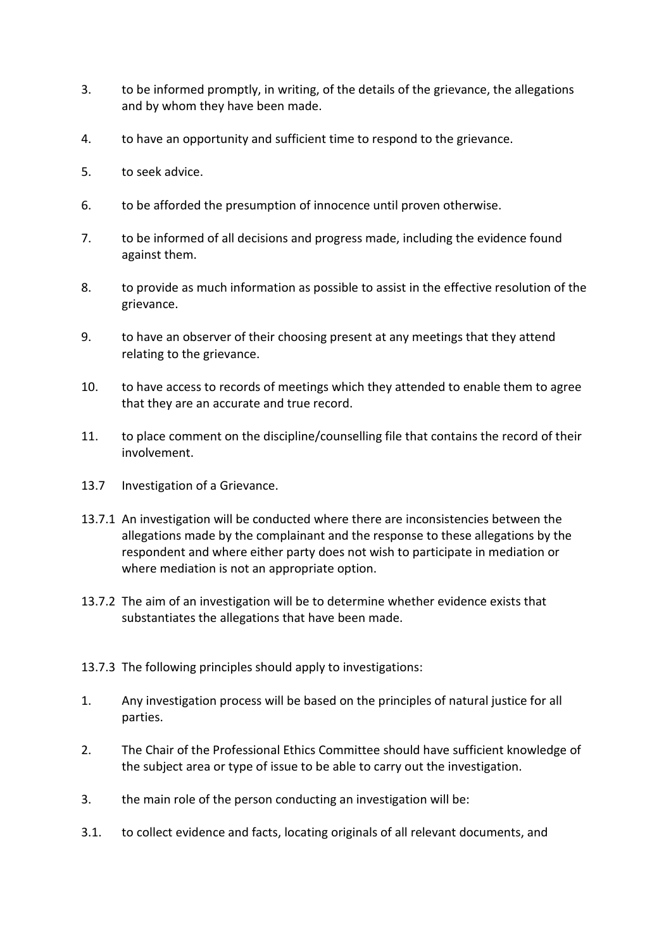- 3. to be informed promptly, in writing, of the details of the grievance, the allegations and by whom they have been made.
- 4. to have an opportunity and sufficient time to respond to the grievance.
- 5. to seek advice.
- 6. to be afforded the presumption of innocence until proven otherwise.
- 7. to be informed of all decisions and progress made, including the evidence found against them.
- 8. to provide as much information as possible to assist in the effective resolution of the grievance.
- 9. to have an observer of their choosing present at any meetings that they attend relating to the grievance.
- 10. to have access to records of meetings which they attended to enable them to agree that they are an accurate and true record.
- 11. to place comment on the discipline/counselling file that contains the record of their involvement.
- 13.7 Investigation of a Grievance.
- 13.7.1 An investigation will be conducted where there are inconsistencies between the allegations made by the complainant and the response to these allegations by the respondent and where either party does not wish to participate in mediation or where mediation is not an appropriate option.
- 13.7.2 The aim of an investigation will be to determine whether evidence exists that substantiates the allegations that have been made.
- 13.7.3 The following principles should apply to investigations:
- 1. Any investigation process will be based on the principles of natural justice for all parties.
- 2. The Chair of the Professional Ethics Committee should have sufficient knowledge of the subject area or type of issue to be able to carry out the investigation.
- 3. the main role of the person conducting an investigation will be:
- 3.1. to collect evidence and facts, locating originals of all relevant documents, and